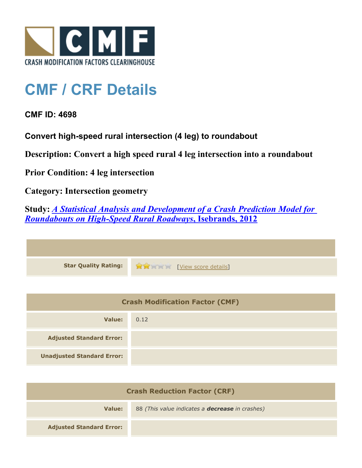

## **CMF / CRF Details**

## **CMF ID: 4698**

**Convert high-speed rural intersection (4 leg) to roundabout**

**Description: Convert a high speed rural 4 leg intersection into a roundabout**

**Prior Condition: 4 leg intersection**

**Category: Intersection geometry**

**Study:** *[A Statistical Analysis and Development of a Crash Prediction Model for](http://www.cmfclearinghouse.org/study_detail.cfm?stid=304) [Roundabouts on High-Speed Rural Roadways](http://www.cmfclearinghouse.org/study_detail.cfm?stid=304)***[, Isebrands, 2012](http://www.cmfclearinghouse.org/study_detail.cfm?stid=304)**

| Star Quality Rating: 19 20 [View score details] |
|-------------------------------------------------|

| <b>Crash Modification Factor (CMF)</b> |      |
|----------------------------------------|------|
| Value:                                 | 0.12 |
| <b>Adjusted Standard Error:</b>        |      |
| <b>Unadjusted Standard Error:</b>      |      |

| <b>Crash Reduction Factor (CRF)</b> |                                                        |
|-------------------------------------|--------------------------------------------------------|
| Value:                              | 88 (This value indicates a <b>decrease</b> in crashes) |
| <b>Adjusted Standard Error:</b>     |                                                        |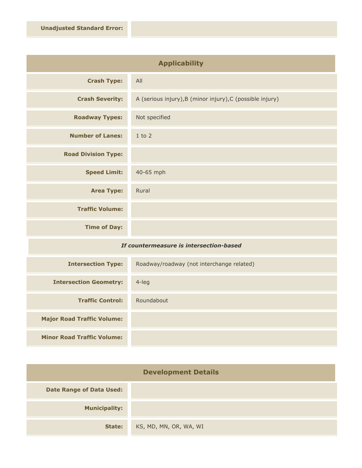| <b>Applicability</b>       |                                                           |
|----------------------------|-----------------------------------------------------------|
| <b>Crash Type:</b>         | All                                                       |
| <b>Crash Severity:</b>     | A (serious injury), B (minor injury), C (possible injury) |
| <b>Roadway Types:</b>      | Not specified                                             |
| <b>Number of Lanes:</b>    | $1$ to $2$                                                |
| <b>Road Division Type:</b> |                                                           |
| <b>Speed Limit:</b>        | 40-65 mph                                                 |
| <b>Area Type:</b>          | Rural                                                     |
| <b>Traffic Volume:</b>     |                                                           |
| <b>Time of Day:</b>        |                                                           |
| $-$                        |                                                           |

## *If countermeasure is intersection-based*

| <b>Intersection Type:</b>         | Roadway/roadway (not interchange related) |
|-----------------------------------|-------------------------------------------|
| <b>Intersection Geometry:</b>     | $4$ -leg                                  |
| <b>Traffic Control:</b>           | Roundabout                                |
| <b>Major Road Traffic Volume:</b> |                                           |
| <b>Minor Road Traffic Volume:</b> |                                           |

| <b>Development Details</b>      |                        |
|---------------------------------|------------------------|
| <b>Date Range of Data Used:</b> |                        |
| <b>Municipality:</b>            |                        |
| State:                          | KS, MD, MN, OR, WA, WI |